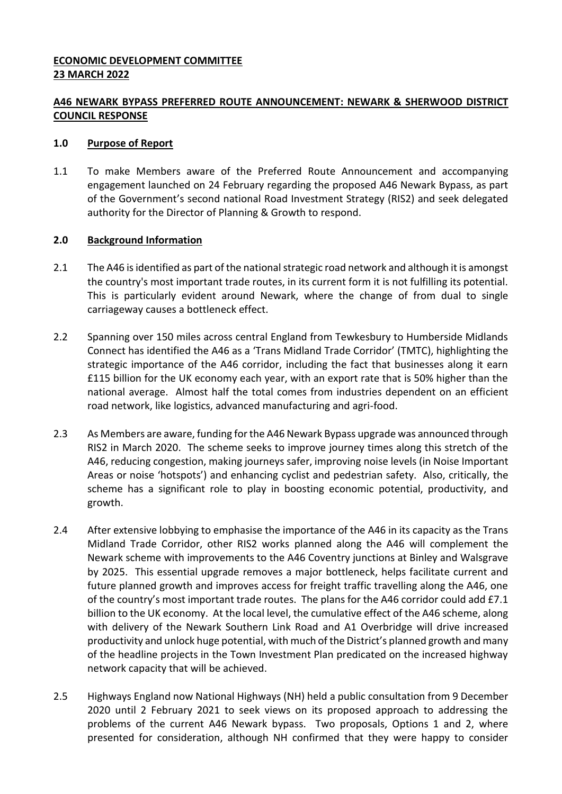### **ECONOMIC DEVELOPMENT COMMITTEE 23 MARCH 2022**

### **A46 NEWARK BYPASS PREFERRED ROUTE ANNOUNCEMENT: NEWARK & SHERWOOD DISTRICT COUNCIL RESPONSE**

#### **1.0 Purpose of Report**

1.1 To make Members aware of the Preferred Route Announcement and accompanying engagement launched on 24 February regarding the proposed A46 Newark Bypass, as part of the Government's second national Road Investment Strategy (RIS2) and seek delegated authority for the Director of Planning & Growth to respond.

#### **2.0 Background Information**

- 2.1 The A46 is identified as part of the national strategic road network and although it is amongst the country's most important trade routes, in its current form it is not fulfilling its potential. This is particularly evident around Newark, where the change of from dual to single carriageway causes a bottleneck effect.
- 2.2 Spanning over 150 miles across central England from Tewkesbury to Humberside Midlands Connect has identified the A46 as a 'Trans Midland Trade Corridor' (TMTC), highlighting the strategic importance of the A46 corridor, including the fact that businesses along it earn £115 billion for the UK economy each year, with an export rate that is 50% higher than the national average. Almost half the total comes from industries dependent on an efficient road network, like logistics, advanced manufacturing and agri-food.
- 2.3 As Members are aware, funding for the A46 Newark Bypass upgrade was announced through RIS2 in March 2020. The scheme seeks to improve journey times along this stretch of the A46, reducing congestion, making journeys safer, improving noise levels (in Noise Important Areas or noise 'hotspots') and enhancing cyclist and pedestrian safety. Also, critically, the scheme has a significant role to play in boosting economic potential, productivity, and growth.
- 2.4 After extensive lobbying to emphasise the importance of the A46 in its capacity as the Trans Midland Trade Corridor, other RIS2 works planned along the A46 will complement the Newark scheme with improvements to the A46 Coventry junctions at Binley and Walsgrave by 2025. This essential upgrade removes a major bottleneck, helps facilitate current and future planned growth and improves access for freight traffic travelling along the A46, one of the country's most important trade routes. The plans for the A46 corridor could add £7.1 billion to the UK economy. At the local level, the cumulative effect of the A46 scheme, along with delivery of the Newark Southern Link Road and A1 Overbridge will drive increased productivity and unlock huge potential, with much of the District's planned growth and many of the headline projects in the Town Investment Plan predicated on the increased highway network capacity that will be achieved.
- 2.5 Highways England now National Highways (NH) held a public consultation from 9 December 2020 until 2 February 2021 to seek views on its proposed approach to addressing the problems of the current A46 Newark bypass. Two proposals, Options 1 and 2, where presented for consideration, although NH confirmed that they were happy to consider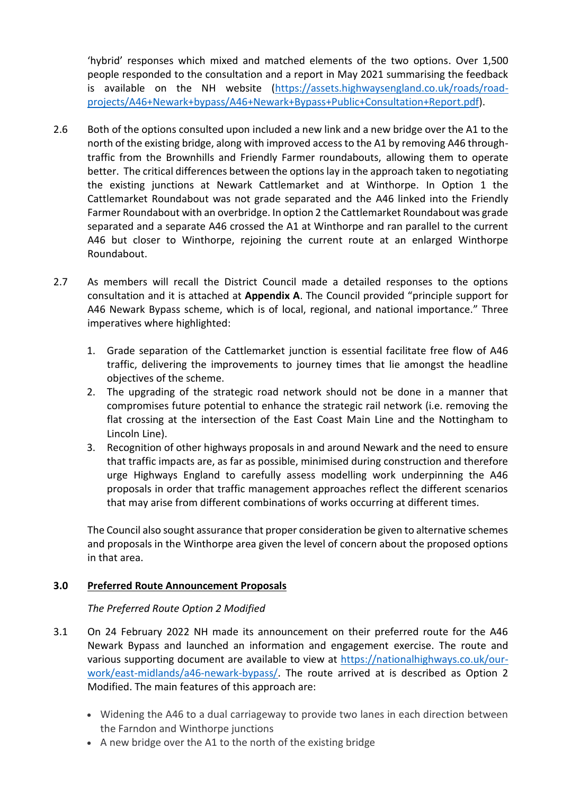'hybrid' responses which mixed and matched elements of the two options. Over 1,500 people responded to the consultation and a report in May 2021 summarising the feedback is available on the NH website [\(https://assets.highwaysengland.co.uk/roads/road](https://assets.highwaysengland.co.uk/roads/road-projects/A46+Newark+bypass/A46+Newark+Bypass+Public+Consultation+Report.pdf)[projects/A46+Newark+bypass/A46+Newark+Bypass+Public+Consultation+Report.pdf\)](https://assets.highwaysengland.co.uk/roads/road-projects/A46+Newark+bypass/A46+Newark+Bypass+Public+Consultation+Report.pdf).

- 2.6 Both of the options consulted upon included a new link and a new bridge over the A1 to the north of the existing bridge, along with improved access to the A1 by removing A46 throughtraffic from the Brownhills and Friendly Farmer roundabouts, allowing them to operate better. The critical differences between the options lay in the approach taken to negotiating the existing junctions at Newark Cattlemarket and at Winthorpe. In Option 1 the Cattlemarket Roundabout was not grade separated and the A46 linked into the Friendly Farmer Roundabout with an overbridge. In option 2 the Cattlemarket Roundabout was grade separated and a separate A46 crossed the A1 at Winthorpe and ran parallel to the current A46 but closer to Winthorpe, rejoining the current route at an enlarged Winthorpe Roundabout.
- 2.7 As members will recall the District Council made a detailed responses to the options consultation and it is attached at **Appendix A**. The Council provided "principle support for A46 Newark Bypass scheme, which is of local, regional, and national importance." Three imperatives where highlighted:
	- 1. Grade separation of the Cattlemarket junction is essential facilitate free flow of A46 traffic, delivering the improvements to journey times that lie amongst the headline objectives of the scheme.
	- 2. The upgrading of the strategic road network should not be done in a manner that compromises future potential to enhance the strategic rail network (i.e. removing the flat crossing at the intersection of the East Coast Main Line and the Nottingham to Lincoln Line).
	- 3. Recognition of other highways proposals in and around Newark and the need to ensure that traffic impacts are, as far as possible, minimised during construction and therefore urge Highways England to carefully assess modelling work underpinning the A46 proposals in order that traffic management approaches reflect the different scenarios that may arise from different combinations of works occurring at different times.

The Council also sought assurance that proper consideration be given to alternative schemes and proposals in the Winthorpe area given the level of concern about the proposed options in that area.

# **3.0 Preferred Route Announcement Proposals**

# *The Preferred Route Option 2 Modified*

- 3.1 On 24 February 2022 NH made its announcement on their preferred route for the A46 Newark Bypass and launched an information and engagement exercise. The route and various supporting document are available to view at [https://nationalhighways.co.uk/our](https://nationalhighways.co.uk/our-work/east-midlands/a46-newark-bypass/)[work/east-midlands/a46-newark-bypass/.](https://nationalhighways.co.uk/our-work/east-midlands/a46-newark-bypass/) The route arrived at is described as Option 2 Modified. The main features of this approach are:
	- Widening the A46 to a dual carriageway to provide two lanes in each direction between the Farndon and Winthorpe junctions
	- A new bridge over the A1 to the north of the existing bridge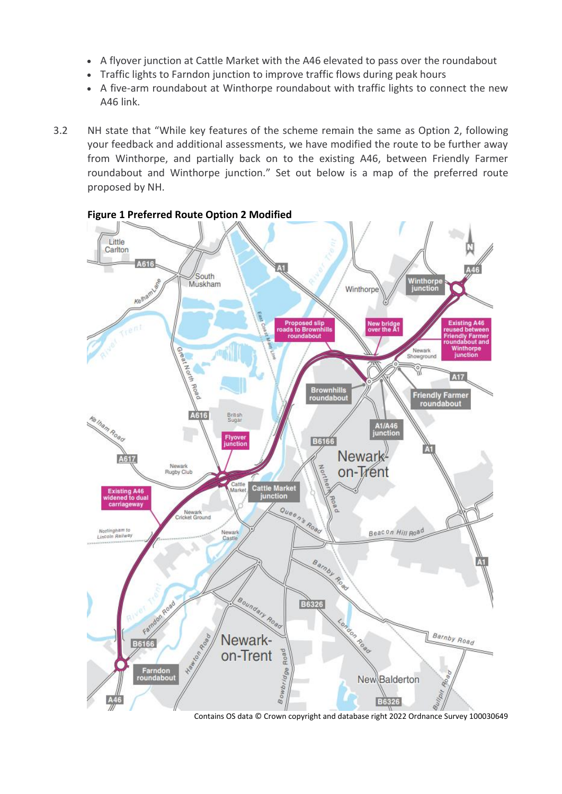- A flyover junction at Cattle Market with the A46 elevated to pass over the roundabout
- Traffic lights to Farndon junction to improve traffic flows during peak hours
- A five-arm roundabout at Winthorpe roundabout with traffic lights to connect the new A46 link.
- 3.2 NH state that "While key features of the scheme remain the same as Option 2, following your feedback and additional assessments, we have modified the route to be further away from Winthorpe, and partially back on to the existing A46, between Friendly Farmer roundabout and Winthorpe junction." Set out below is a map of the preferred route proposed by NH.



Contains OS data © Crown copyright and database right 2022 Ordnance Survey 100030649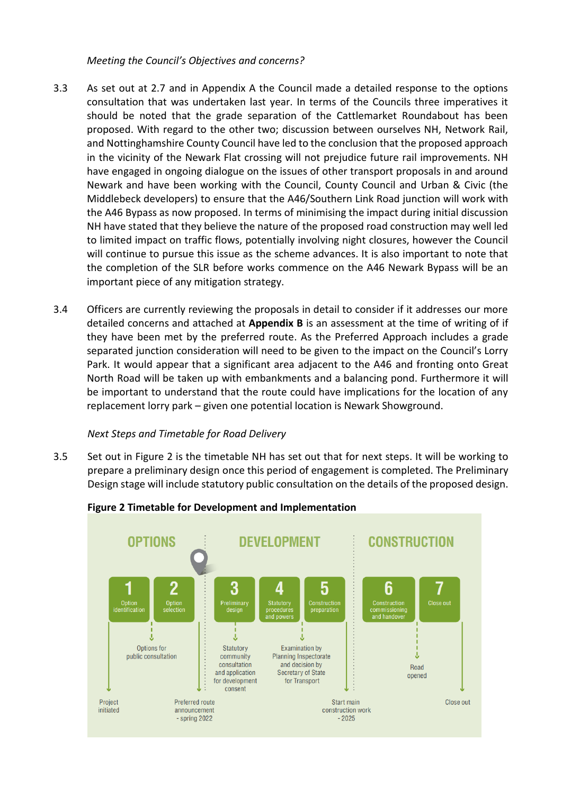*Meeting the Council's Objectives and concerns?*

- 3.3 As set out at 2.7 and in Appendix A the Council made a detailed response to the options consultation that was undertaken last year. In terms of the Councils three imperatives it should be noted that the grade separation of the Cattlemarket Roundabout has been proposed. With regard to the other two; discussion between ourselves NH, Network Rail, and Nottinghamshire County Council have led to the conclusion that the proposed approach in the vicinity of the Newark Flat crossing will not prejudice future rail improvements. NH have engaged in ongoing dialogue on the issues of other transport proposals in and around Newark and have been working with the Council, County Council and Urban & Civic (the Middlebeck developers) to ensure that the A46/Southern Link Road junction will work with the A46 Bypass as now proposed. In terms of minimising the impact during initial discussion NH have stated that they believe the nature of the proposed road construction may well led to limited impact on traffic flows, potentially involving night closures, however the Council will continue to pursue this issue as the scheme advances. It is also important to note that the completion of the SLR before works commence on the A46 Newark Bypass will be an important piece of any mitigation strategy.
- 3.4 Officers are currently reviewing the proposals in detail to consider if it addresses our more detailed concerns and attached at **Appendix B** is an assessment at the time of writing of if they have been met by the preferred route. As the Preferred Approach includes a grade separated junction consideration will need to be given to the impact on the Council's Lorry Park. It would appear that a significant area adjacent to the A46 and fronting onto Great North Road will be taken up with embankments and a balancing pond. Furthermore it will be important to understand that the route could have implications for the location of any replacement lorry park – given one potential location is Newark Showground.

# *Next Steps and Timetable for Road Delivery*

3.5 Set out in Figure 2 is the timetable NH has set out that for next steps. It will be working to prepare a preliminary design once this period of engagement is completed. The Preliminary Design stage will include statutory public consultation on the details of the proposed design.



**Figure 2 Timetable for Development and Implementation**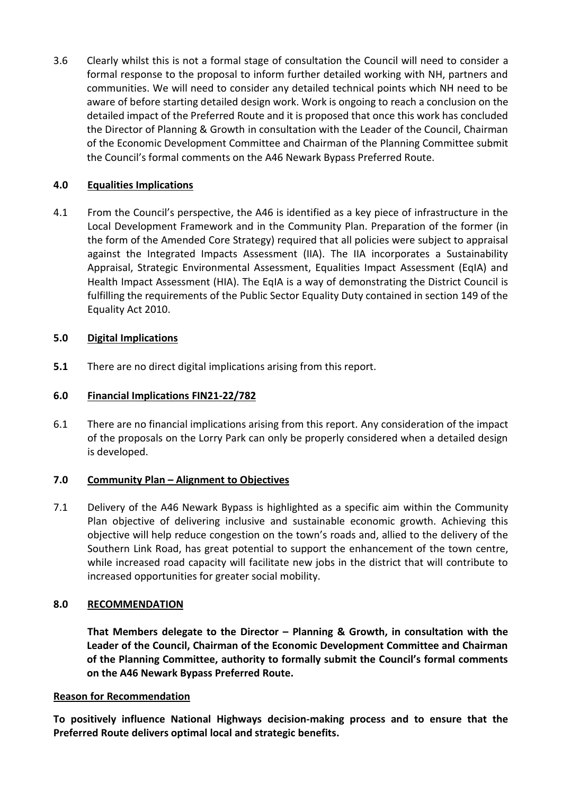3.6 Clearly whilst this is not a formal stage of consultation the Council will need to consider a formal response to the proposal to inform further detailed working with NH, partners and communities. We will need to consider any detailed technical points which NH need to be aware of before starting detailed design work. Work is ongoing to reach a conclusion on the detailed impact of the Preferred Route and it is proposed that once this work has concluded the Director of Planning & Growth in consultation with the Leader of the Council, Chairman of the Economic Development Committee and Chairman of the Planning Committee submit the Council's formal comments on the A46 Newark Bypass Preferred Route.

# **4.0 Equalities Implications**

4.1 From the Council's perspective, the A46 is identified as a key piece of infrastructure in the Local Development Framework and in the Community Plan. Preparation of the former (in the form of the Amended Core Strategy) required that all policies were subject to appraisal against the Integrated Impacts Assessment (IIA). The IIA incorporates a Sustainability Appraisal, Strategic Environmental Assessment, Equalities Impact Assessment (EqIA) and Health Impact Assessment (HIA). The EqIA is a way of demonstrating the District Council is fulfilling the requirements of the Public Sector Equality Duty contained in section 149 of the Equality Act 2010.

# **5.0 Digital Implications**

**5.1** There are no direct digital implications arising from this report.

# **6.0 Financial Implications FIN21-22/782**

6.1 There are no financial implications arising from this report. Any consideration of the impact of the proposals on the Lorry Park can only be properly considered when a detailed design is developed.

# **7.0 Community Plan – Alignment to Objectives**

7.1 Delivery of the A46 Newark Bypass is highlighted as a specific aim within the Community Plan objective of delivering inclusive and sustainable economic growth. Achieving this objective will help reduce congestion on the town's roads and, allied to the delivery of the Southern Link Road, has great potential to support the enhancement of the town centre, while increased road capacity will facilitate new jobs in the district that will contribute to increased opportunities for greater social mobility.

# **8.0 RECOMMENDATION**

**That Members delegate to the Director – Planning & Growth, in consultation with the Leader of the Council, Chairman of the Economic Development Committee and Chairman of the Planning Committee, authority to formally submit the Council's formal comments on the A46 Newark Bypass Preferred Route.**

#### **Reason for Recommendation**

**To positively influence National Highways decision-making process and to ensure that the Preferred Route delivers optimal local and strategic benefits.**